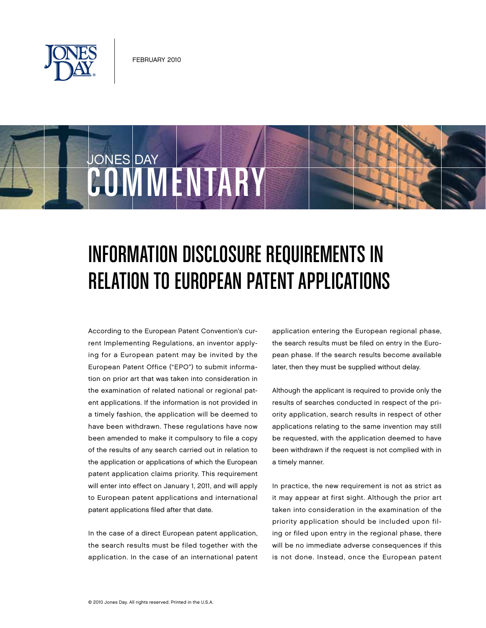

COMMENTAR

JONES DAY

## Information Disclosure Requirements in RELATION TO EUROPEAN PATENT APPLICATIONS

According to the European Patent Convention's current Implementing Regulations, an inventor applying for a European patent may be invited by the European Patent Office ("EPO") to submit information on prior art that was taken into consideration in the examination of related national or regional patent applications. If the information is not provided in a timely fashion, the application will be deemed to have been withdrawn. These regulations have now been amended to make it compulsory to file a copy of the results of any search carried out in relation to the application or applications of which the European patent application claims priority. This requirement will enter into effect on January 1, 2011, and will apply to European patent applications and international patent applications filed after that date.

In the case of a direct European patent application, the search results must be filed together with the application. In the case of an international patent application entering the European regional phase, the search results must be filed on entry in the European phase. If the search results become available later, then they must be supplied without delay.

Although the applicant is required to provide only the results of searches conducted in respect of the priority application, search results in respect of other applications relating to the same invention may still be requested, with the application deemed to have been withdrawn if the request is not complied with in a timely manner.

In practice, the new requirement is not as strict as it may appear at first sight. Although the prior art taken into consideration in the examination of the priority application should be included upon filing or filed upon entry in the regional phase, there will be no immediate adverse consequences if this is not done. Instead, once the European patent